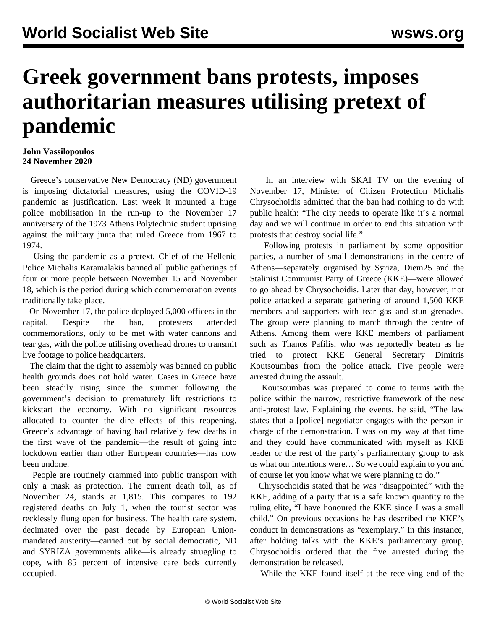## **Greek government bans protests, imposes authoritarian measures utilising pretext of pandemic**

## **John Vassilopoulos 24 November 2020**

 Greece's conservative New Democracy (ND) government is imposing dictatorial measures, using the COVID-19 pandemic as justification. Last week it mounted a huge police mobilisation in the run-up to the November 17 anniversary of the 1973 Athens Polytechnic student uprising against the military junta that ruled Greece from 1967 to 1974.

 Using the pandemic as a pretext, Chief of the Hellenic Police Michalis Karamalakis banned all public gatherings of four or more people between November 15 and November 18, which is the period during which commemoration events traditionally take place.

 On November 17, the police deployed 5,000 officers in the capital. Despite the ban, protesters attended commemorations, only to be met with water cannons and tear gas, with the police utilising overhead drones to transmit live footage to police headquarters.

 The claim that the right to assembly was banned on public health grounds does not hold water. Cases in Greece have been steadily rising since the summer following the government's decision to prematurely lift restrictions to kickstart the economy. With no significant resources allocated to counter the dire effects of this reopening, Greece's advantage of having had relatively few deaths in the first wave of the pandemic—the result of going into lockdown earlier than other European countries—has now been undone.

 People are routinely crammed into public transport with only a mask as protection. The current death toll, as of November 24, stands at 1,815. This compares to 192 registered deaths on July 1, when the tourist sector was recklessly flung open for business. The health care system, decimated over the past decade by European Unionmandated austerity—carried out by social democratic, ND and SYRIZA governments alike—is already struggling to cope, with 85 percent of intensive care beds currently occupied.

 In an interview with SKAI TV on the evening of November 17, Minister of Citizen Protection Michalis Chrysochoidis admitted that the ban had nothing to do with public health: "The city needs to operate like it's a normal day and we will continue in order to end this situation with protests that destroy social life."

 Following protests in parliament by some opposition parties, a number of small demonstrations in the centre of Athens—separately organised by Syriza, Diem25 and the Stalinist Communist Party of Greece (KKE)—were allowed to go ahead by Chrysochoidis. Later that day, however, riot police attacked a separate gathering of around 1,500 KKE members and supporters with tear gas and stun grenades. The group were planning to march through the centre of Athens. Among them were KKE members of parliament such as Thanos Pafilis, who was reportedly beaten as he tried to protect KKE General Secretary Dimitris Koutsoumbas from the police attack. Five people were arrested during the assault.

 Koutsoumbas was prepared to come to terms with the police within the narrow, restrictive framework of the new anti-protest law. Explaining the events, he said, "The law states that a [police] negotiator engages with the person in charge of the demonstration. I was on my way at that time and they could have communicated with myself as KKE leader or the rest of the party's parliamentary group to ask us what our intentions were… So we could explain to you and of course let you know what we were planning to do."

 Chrysochoidis stated that he was "disappointed" with the KKE, adding of a party that is a safe known quantity to the ruling elite, "I have honoured the KKE since I was a small child." On previous occasions he has described the KKE's conduct in demonstrations as "exemplary." In this instance, after holding talks with the KKE's parliamentary group, Chrysochoidis ordered that the five arrested during the demonstration be released.

While the KKE found itself at the receiving end of the